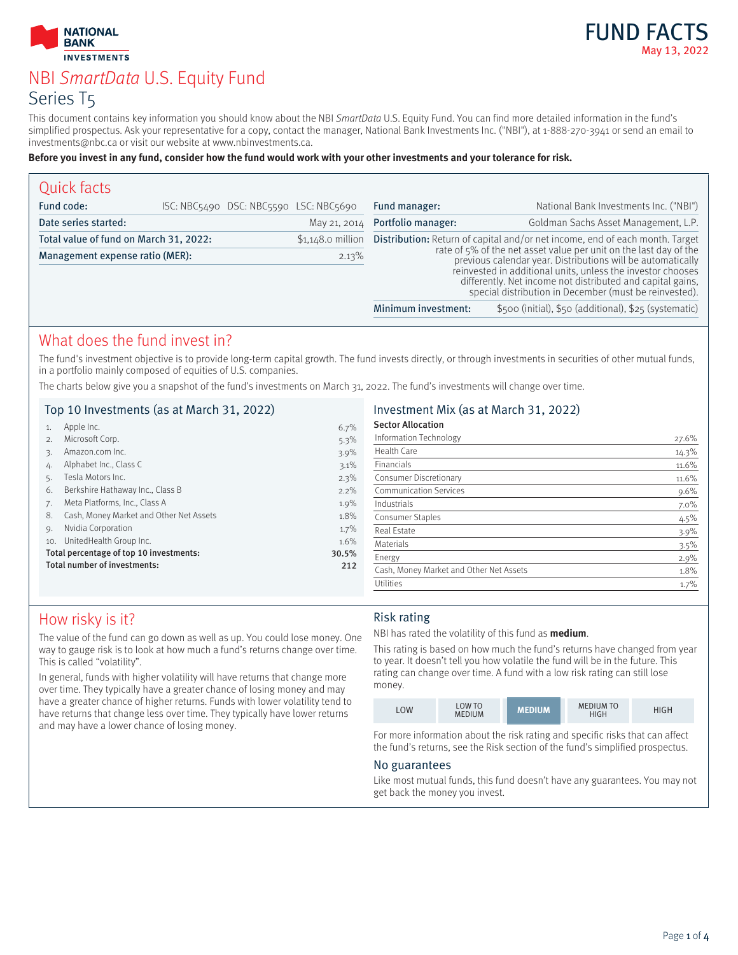



# NBI SmartData U.S. Equity Fund Series T5

This document contains key information you should know about the NBI SmartData U.S. Equity Fund. You can find more detailed information in the fund's simplified prospectus. Ask your representative for a copy, contact the manager, National Bank Investments Inc. ("NBI"), at 1-888-270-3941 or send an email to investments@nbc.ca or visit our website at www.nbinvestments.ca.

#### **Before you invest in any fund, consider how the fund would work with your other investments and your tolerance for risk.**

| Quick facts                            |  |                                        |                                                                                                                                                                                                                                                                                                                                                                                                             |                                      |                                                       |
|----------------------------------------|--|----------------------------------------|-------------------------------------------------------------------------------------------------------------------------------------------------------------------------------------------------------------------------------------------------------------------------------------------------------------------------------------------------------------------------------------------------------------|--------------------------------------|-------------------------------------------------------|
| Fund code:                             |  | ISC: NBC5490 DSC: NBC5590 LSC: NBC5690 |                                                                                                                                                                                                                                                                                                                                                                                                             | Fund manager:                        | National Bank Investments Inc. ("NBI")                |
| Date series started:                   |  | May 21, 2014                           | Portfolio manager:                                                                                                                                                                                                                                                                                                                                                                                          | Goldman Sachs Asset Management, L.P. |                                                       |
| Total value of fund on March 31, 2022: |  | $$1,148.0$ million                     | <b>Distribution:</b> Return of capital and/or net income, end of each month. Target<br>rate of 5% of the net asset value per unit on the last day of the<br>previous calendar year. Distributions will be automatically<br>reinvested in additional units, unless the investor chooses<br>differently. Net income not distributed and capital gains, special distribution in December (must be reinvested). |                                      |                                                       |
| Management expense ratio (MER):        |  | 2.13%                                  |                                                                                                                                                                                                                                                                                                                                                                                                             |                                      |                                                       |
|                                        |  |                                        |                                                                                                                                                                                                                                                                                                                                                                                                             | Minimum investment:                  | \$500 (initial), \$50 (additional), \$25 (systematic) |

### What does the fund invest in?

The fund's investment objective is to provide long-term capital growth. The fund invests directly, or through investments in securities of other mutual funds, in a portfolio mainly composed of equities of U.S. companies.

The charts below give you a snapshot of the fund's investments on March 31, 2022. The fund's investments will change over time.

### Top 10 Investments (as at March 31, 2022)

| 1.  | Apple Inc.                              | 6.7%  |
|-----|-----------------------------------------|-------|
| 2.  | Microsoft Corp.                         | 5.3%  |
| 3.  | Amazon.com Inc.                         | 3.9%  |
| 4.  | Alphabet Inc., Class C                  | 3.1%  |
| 5.  | Tesla Motors Inc.                       | 2.3%  |
| 6.  | Berkshire Hathaway Inc., Class B        | 2.2%  |
| 7.  | Meta Platforms, Inc., Class A           | 1.9%  |
| 8.  | Cash, Money Market and Other Net Assets | 1.8%  |
| 9.  | Nvidia Corporation                      | 1.7%  |
| 10. | UnitedHealth Group Inc.                 | 1.6%  |
|     | Total percentage of top 10 investments: | 30.5% |
|     | Total number of investments:            | 212   |
|     |                                         |       |

#### Investment Mix (as at March 31, 2022)

| 27.6%   |
|---------|
| 14.3%   |
| 11.6%   |
| 11.6%   |
| 9.6%    |
| $7.0\%$ |
| 4.5%    |
| $3.9\%$ |
| 3.5%    |
| 2.9%    |
| 1.8%    |
| 1.7%    |
|         |

# How risky is it?

The value of the fund can go down as well as up. You could lose money. One way to gauge risk is to look at how much a fund's returns change over time. This is called "volatility".

In general, funds with higher volatility will have returns that change more over time. They typically have a greater chance of losing money and may have a greater chance of higher returns. Funds with lower volatility tend to have returns that change less over time. They typically have lower returns and may have a lower chance of losing money.

### Risk rating

NBI has rated the volatility of this fund as **medium**.

This rating is based on how much the fund's returns have changed from year to year. It doesn't tell you how volatile the fund will be in the future. This rating can change over time. A fund with a low risk rating can still lose money.

| <b>LOW</b> | <b>LOW TO</b><br><b>MEDIUM</b> | <b>MEDIUM</b> | <b>MEDIUM TO</b><br><b>HIGH</b> | HIGH |
|------------|--------------------------------|---------------|---------------------------------|------|
|------------|--------------------------------|---------------|---------------------------------|------|

For more information about the risk rating and specific risks that can affect the fund's returns, see the Risk section of the fund's simplified prospectus.

#### No guarantees

Like most mutual funds, this fund doesn't have any guarantees. You may not get back the money you invest.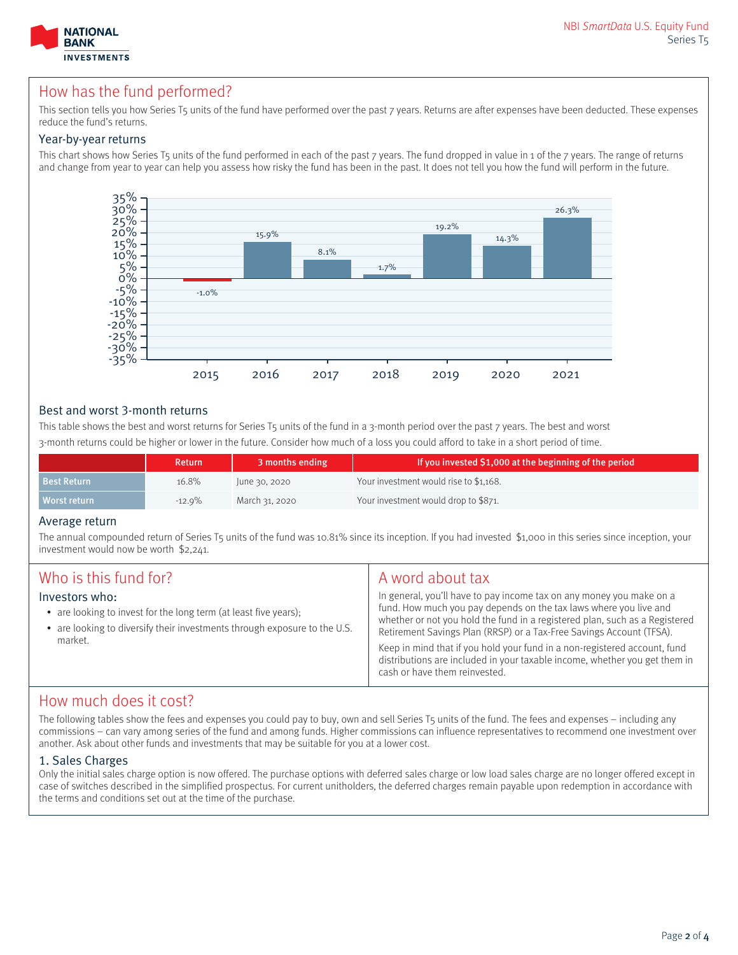

## How has the fund performed?

This section tells you how Series T5 units of the fund have performed over the past 7 years. Returns are after expenses have been deducted. These expenses reduce the fund's returns.

#### Year-by-year returns

This chart shows how Series T5 units of the fund performed in each of the past 7 years. The fund dropped in value in 1 of the 7 years. The range of returns and change from year to year can help you assess how risky the fund has been in the past. It does not tell you how the fund will perform in the future.



### Best and worst 3-month returns

This table shows the best and worst returns for Series T5 units of the fund in a 3-month period over the past 7 years. The best and worst 3-month returns could be higher or lower in the future. Consider how much of a loss you could afford to take in a short period of time.

|                    | <b>Return</b> | 3 months ending | If you invested \$1,000 at the beginning of the period |
|--------------------|---------------|-----------------|--------------------------------------------------------|
| <b>Best Return</b> | 16.8%         | June 30, 2020   | Your investment would rise to \$1,168.                 |
| Morst return       | $-12.9%$      | March 31, 2020  | Your investment would drop to \$871.                   |

#### Average return

The annual compounded return of Series T5 units of the fund was 10.81% since its inception. If you had invested \$1,000 in this series since inception, your investment would now be worth \$2,241.

| Who is this fund for?<br>Investors who:<br>• are looking to invest for the long term (at least five years);<br>• are looking to diversify their investments through exposure to the U.S.<br>market. | A word about tax<br>In general, you'll have to pay income tax on any money you make on a<br>fund. How much you pay depends on the tax laws where you live and<br>whether or not you hold the fund in a registered plan, such as a Registered<br>Retirement Savings Plan (RRSP) or a Tax-Free Savings Account (TFSA).<br>Keep in mind that if you hold your fund in a non-registered account, fund<br>distributions are included in your taxable income, whether you get them in<br>cash or have them reinvested. |
|-----------------------------------------------------------------------------------------------------------------------------------------------------------------------------------------------------|------------------------------------------------------------------------------------------------------------------------------------------------------------------------------------------------------------------------------------------------------------------------------------------------------------------------------------------------------------------------------------------------------------------------------------------------------------------------------------------------------------------|
|-----------------------------------------------------------------------------------------------------------------------------------------------------------------------------------------------------|------------------------------------------------------------------------------------------------------------------------------------------------------------------------------------------------------------------------------------------------------------------------------------------------------------------------------------------------------------------------------------------------------------------------------------------------------------------------------------------------------------------|

### How much does it cost?

The following tables show the fees and expenses you could pay to buy, own and sell Series T5 units of the fund. The fees and expenses – including any commissions – can vary among series of the fund and among funds. Higher commissions can influence representatives to recommend one investment over another. Ask about other funds and investments that may be suitable for you at a lower cost.

#### 1. Sales Charges

Only the initial sales charge option is now offered. The purchase options with deferred sales charge or low load sales charge are no longer offered except in case of switches described in the simplified prospectus. For current unitholders, the deferred charges remain payable upon redemption in accordance with the terms and conditions set out at the time of the purchase.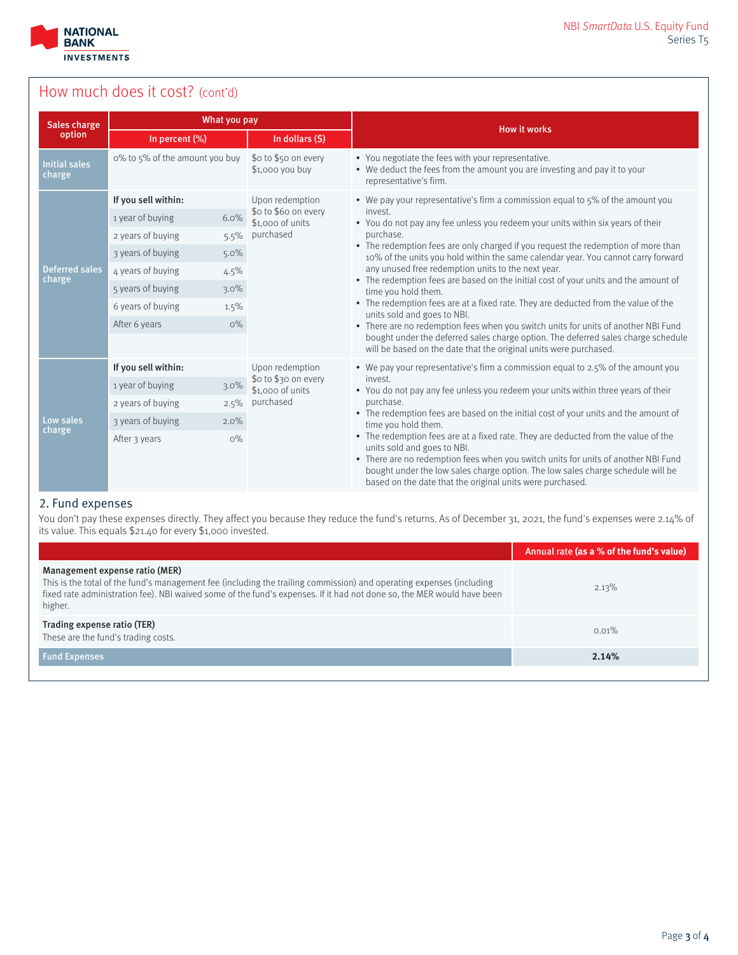

# How much does it cost? (cont'd)

| Sales charge                    | What you pay                   |                                          | <b>How it works</b>                                                                                                                                                                                                                                                                                                                        |  |  |  |
|---------------------------------|--------------------------------|------------------------------------------|--------------------------------------------------------------------------------------------------------------------------------------------------------------------------------------------------------------------------------------------------------------------------------------------------------------------------------------------|--|--|--|
| option                          | In percent (%)                 | In dollars (\$)                          |                                                                                                                                                                                                                                                                                                                                            |  |  |  |
| <b>Initial sales</b><br>charge  | o% to 5% of the amount you buy | \$0 to \$50 on every<br>\$1,000 you buy  | • You negotiate the fees with your representative.<br>• We deduct the fees from the amount you are investing and pay it to your<br>representative's firm.                                                                                                                                                                                  |  |  |  |
|                                 | If you sell within:            | Upon redemption                          | • We pay your representative's firm a commission equal to 5% of the amount you<br>invest.<br>• You do not pay any fee unless you redeem your units within six years of their                                                                                                                                                               |  |  |  |
|                                 | 6.0%<br>1 year of buying       | \$o to \$6o on every<br>\$1,000 of units |                                                                                                                                                                                                                                                                                                                                            |  |  |  |
|                                 | 2 years of buying<br>5.5%      | purchased                                | purchase.                                                                                                                                                                                                                                                                                                                                  |  |  |  |
|                                 | 3 years of buying<br>5.0%      |                                          | • The redemption fees are only charged if you request the redemption of more than<br>10% of the units you hold within the same calendar year. You cannot carry forward<br>any unused free redemption units to the next year.<br>• The redemption fees are based on the initial cost of your units and the amount of<br>time you hold them. |  |  |  |
| <b>Deferred sales</b><br>charge | 4 years of buying<br>4.5%      |                                          |                                                                                                                                                                                                                                                                                                                                            |  |  |  |
|                                 | 5 years of buying<br>$3.0\%$   |                                          |                                                                                                                                                                                                                                                                                                                                            |  |  |  |
|                                 | 6 years of buying<br>1.5%      |                                          | • The redemption fees are at a fixed rate. They are deducted from the value of the<br>units sold and goes to NBI.                                                                                                                                                                                                                          |  |  |  |
|                                 | After 6 years<br>$O\%$         |                                          | • There are no redemption fees when you switch units for units of another NBI Fund                                                                                                                                                                                                                                                         |  |  |  |
|                                 |                                |                                          | bought under the deferred sales charge option. The deferred sales charge schedule<br>will be based on the date that the original units were purchased.                                                                                                                                                                                     |  |  |  |
|                                 | If you sell within:            | Upon redemption                          | • We pay your representative's firm a commission equal to 2.5% of the amount you                                                                                                                                                                                                                                                           |  |  |  |
|                                 | 1 year of buying<br>3.0%       | \$o to \$30 on every<br>\$1,000 of units | invest.<br>• You do not pay any fee unless you redeem your units within three years of their                                                                                                                                                                                                                                               |  |  |  |
|                                 | 2 years of buying<br>2.5%      | purchased                                | purchase.<br>• The redemption fees are based on the initial cost of your units and the amount of<br>time you hold them.                                                                                                                                                                                                                    |  |  |  |
| Low sales<br>charge             | 3 years of buying<br>2.0%      |                                          |                                                                                                                                                                                                                                                                                                                                            |  |  |  |
|                                 | $O\%$<br>After 3 years         |                                          | • The redemption fees are at a fixed rate. They are deducted from the value of the<br>units sold and goes to NBI.<br>• There are no redemption fees when you switch units for units of another NBI Fund<br>bought under the low sales charge option. The low sales charge schedule will be                                                 |  |  |  |
|                                 |                                |                                          | based on the date that the original units were purchased.                                                                                                                                                                                                                                                                                  |  |  |  |

### 2. Fund expenses

You don't pay these expenses directly. They affect you because they reduce the fund's returns. As of December 31, 2021, the fund's expenses were 2.14% of its value. This equals \$21.40 for every \$1,000 invested.

|                                                                                                                                                                                                                                                                                             | Annual rate (as a % of the fund's value) |
|---------------------------------------------------------------------------------------------------------------------------------------------------------------------------------------------------------------------------------------------------------------------------------------------|------------------------------------------|
| Management expense ratio (MER)<br>This is the total of the fund's management fee (including the trailing commission) and operating expenses (including<br>fixed rate administration fee). NBI waived some of the fund's expenses. If it had not done so, the MER would have been<br>higher. | 2.13%                                    |
| Trading expense ratio (TER)<br>These are the fund's trading costs.                                                                                                                                                                                                                          | $0.01\%$                                 |
| <b>Fund Expenses</b>                                                                                                                                                                                                                                                                        | 2.14%                                    |